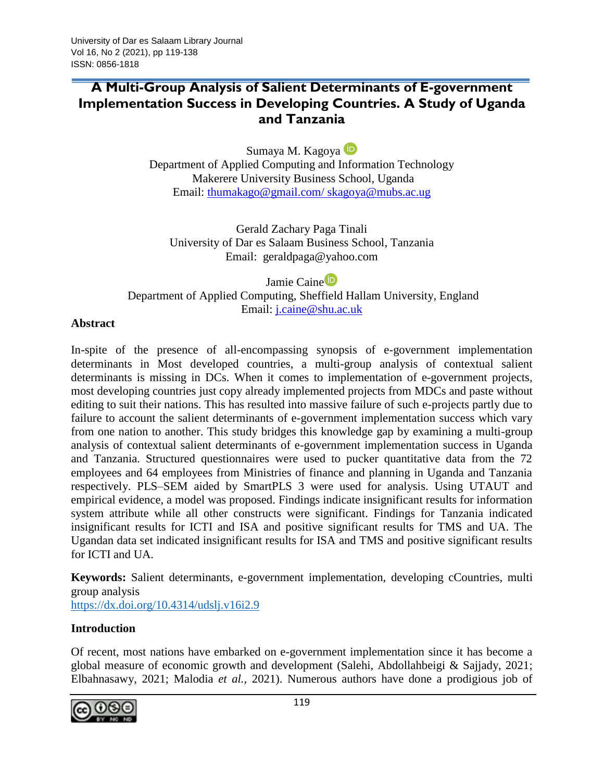Sumaya M. Kagoya

Department of Applied Computing and Information Technology Makerere University Business School, Uganda Email: [thumakago@gmail.com/ skagoya@mubs.ac.ug](mailto:thumakago@gmail.com/%20skagoya@mubs.ac.ug)

Gerald Zachary Paga Tinali University of Dar es Salaam Business School, Tanzania Email: [geraldpaga@yahoo.com](mailto:geraldpaga@yahoo.com)

Jami[e](https://orcid.org/0000-0001-8353-6529) Caine<sup>D</sup> Department of Applied Computing, Sheffield Hallam University, England Email: [j.caine@shu.ac.uk](mailto:j.caine@shu.ac.uk)

# **Abstract**

In-spite of the presence of all-encompassing synopsis of e-government implementation determinants in Most developed countries, a multi-group analysis of contextual salient determinants is missing in DCs. When it comes to implementation of e-government projects, most developing countries just copy already implemented projects from MDCs and paste without editing to suit their nations. This has resulted into massive failure of such e-projects partly due to failure to account the salient determinants of e-government implementation success which vary from one nation to another. This study bridges this knowledge gap by examining a multi-group analysis of contextual salient determinants of e-government implementation success in Uganda and Tanzania. Structured questionnaires were used to pucker quantitative data from the 72 employees and 64 employees from Ministries of finance and planning in Uganda and Tanzania respectively. PLS–SEM aided by SmartPLS 3 were used for analysis. Using UTAUT and empirical evidence, a model was proposed. Findings indicate insignificant results for information system attribute while all other constructs were significant. Findings for Tanzania indicated insignificant results for ICTI and ISA and positive significant results for TMS and UA. The Ugandan data set indicated insignificant results for ISA and TMS and positive significant results for ICTI and UA.

**Keywords:** Salient determinants, e-government implementation, developing cCountries, multi group analysis

<https://dx.doi.org/10.4314/udslj.v16i2.9>

# **Introduction**

Of recent, most nations have embarked on e-government implementation since it has become a global measure of economic growth and development (Salehi, Abdollahbeigi & Sajjady, 2021; Elbahnasawy, 2021; Malodia *et al.,* 2021). Numerous authors have done a prodigious job of

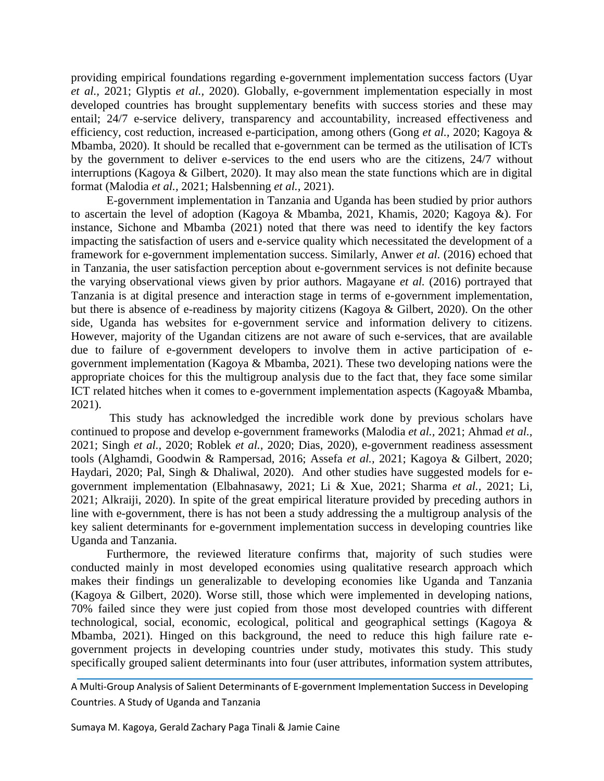providing empirical foundations regarding e-government implementation success factors (Uyar *et al.,* 2021; Glyptis *et al.,* 2020). Globally, e-government implementation especially in most developed countries has brought supplementary benefits with success stories and these may entail; 24/7 e-service delivery, transparency and accountability, increased effectiveness and efficiency, cost reduction, increased e-participation, among others (Gong *et al.,* 2020; Kagoya & Mbamba, 2020). It should be recalled that e-government can be termed as the utilisation of ICTs by the government to deliver e-services to the end users who are the citizens, 24/7 without interruptions (Kagoya & Gilbert, 2020). It may also mean the state functions which are in digital format (Malodia *et al.,* 2021; Halsbenning *et al.,* 2021).

E-government implementation in Tanzania and Uganda has been studied by prior authors to ascertain the level of adoption (Kagoya & Mbamba, 2021, Khamis, 2020; Kagoya &). For instance, Sichone and Mbamba (2021) noted that there was need to identify the key factors impacting the satisfaction of users and e-service quality which necessitated the development of a framework for e-government implementation success. Similarly, Anwer *et al.* (2016) echoed that in Tanzania, the user satisfaction perception about e-government services is not definite because the varying observational views given by prior authors. Magayane *et al.* (2016) portrayed that Tanzania is at digital presence and interaction stage in terms of e-government implementation, but there is absence of e-readiness by majority citizens (Kagoya & Gilbert, 2020). On the other side, Uganda has websites for e-government service and information delivery to citizens. However, majority of the Ugandan citizens are not aware of such e-services, that are available due to failure of e-government developers to involve them in active participation of egovernment implementation (Kagoya & Mbamba, 2021). These two developing nations were the appropriate choices for this the multigroup analysis due to the fact that, they face some similar ICT related hitches when it comes to e-government implementation aspects (Kagoya& Mbamba, 2021).

This study has acknowledged the incredible work done by previous scholars have continued to propose and develop e-government frameworks (Malodia *et al.,* 2021; Ahmad *et al.,* 2021; Singh *et al.,* 2020; Roblek *et al.,* 2020; Dias, 2020), e-government readiness assessment tools (Alghamdi, Goodwin & Rampersad, 2016; Assefa *et al.,* 2021; Kagoya & Gilbert, 2020; Haydari, 2020; Pal, Singh & Dhaliwal, 2020). And other studies have suggested models for egovernment implementation (Elbahnasawy, 2021; Li & Xue, 2021; Sharma *et al.,* 2021; Li*,* 2021; Alkraiji, 2020). In spite of the great empirical literature provided by preceding authors in line with e-government, there is has not been a study addressing the a multigroup analysis of the key salient determinants for e-government implementation success in developing countries like Uganda and Tanzania.

Furthermore, the reviewed literature confirms that, majority of such studies were conducted mainly in most developed economies using qualitative research approach which makes their findings un generalizable to developing economies like Uganda and Tanzania (Kagoya & Gilbert, 2020). Worse still, those which were implemented in developing nations, 70% failed since they were just copied from those most developed countries with different technological, social, economic, ecological, political and geographical settings (Kagoya & Mbamba, 2021). Hinged on this background, the need to reduce this high failure rate egovernment projects in developing countries under study, motivates this study. This study specifically grouped salient determinants into four (user attributes, information system attributes,

A Multi-Group Analysis of Salient Determinants of E-government Implementation Success in Developing Countries. A Study of Uganda and Tanzania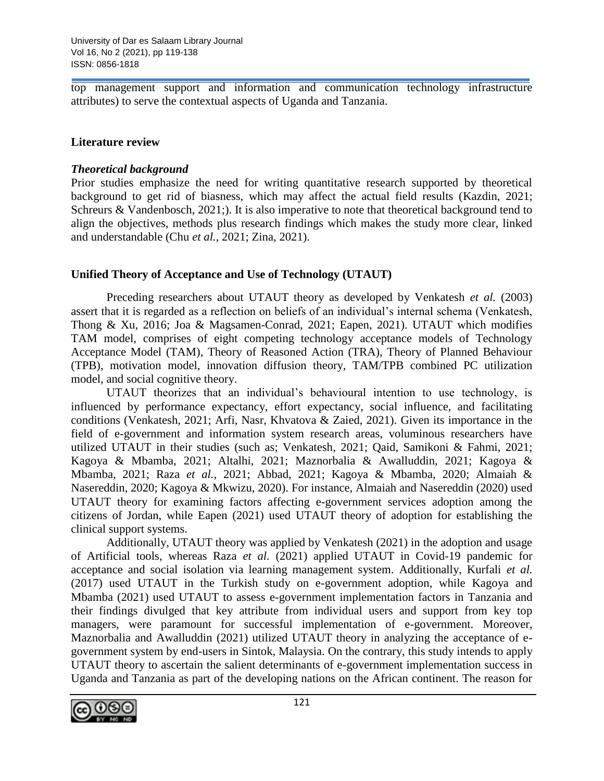top management support and information and communication technology infrastructure attributes) to serve the contextual aspects of Uganda and Tanzania.

# **Literature review**

# *Theoretical background*

Prior studies emphasize the need for writing quantitative research supported by theoretical background to get rid of biasness, which may affect the actual field results (Kazdin, 2021; Schreurs & Vandenbosch, 2021;). It is also imperative to note that theoretical background tend to align the objectives, methods plus research findings which makes the study more clear, linked and understandable (Chu *et al.,* 2021; Zina, 2021).

# **Unified Theory of Acceptance and Use of Technology (UTAUT)**

Preceding researchers about UTAUT theory as developed by Venkatesh *et al.* (2003) assert that it is regarded as a reflection on beliefs of an individual's internal schema (Venkatesh, Thong & Xu*,* 2016; Joa & Magsamen-Conrad, 2021; Eapen, 2021). UTAUT which modifies TAM model, comprises of eight competing technology acceptance models of Technology Acceptance Model (TAM), Theory of Reasoned Action (TRA), Theory of Planned Behaviour (TPB), motivation model, innovation diffusion theory, TAM/TPB combined PC utilization model, and social cognitive theory.

UTAUT theorizes that an individual's behavioural intention to use technology, is influenced by performance expectancy, effort expectancy, social influence, and facilitating conditions (Venkatesh, 2021; Arfi, Nasr, Khvatova & Zaied, 2021). Given its importance in the field of e-government and information system research areas, voluminous researchers have utilized UTAUT in their studies (such as; Venkatesh, 2021; Qaid, Samikoni & Fahmi, 2021; Kagoya & Mbamba, 2021; Altalhi, 2021; Maznorbalia & Awalluddin, 2021; Kagoya & Mbamba, 2021; Raza *et al.,* 2021; Abbad, 2021; Kagoya & Mbamba, 2020; Almaiah & Nasereddin, 2020; Kagoya & Mkwizu, 2020). For instance, Almaiah and Nasereddin (2020) used UTAUT theory for examining factors affecting e-government services adoption among the citizens of Jordan, while Eapen (2021) used UTAUT theory of adoption for establishing the clinical support systems.

Additionally, UTAUT theory was applied by Venkatesh (2021) in the adoption and usage of Artificial tools, whereas Raza *et al.* (2021) applied UTAUT in Covid-19 pandemic for acceptance and social isolation via learning management system. Additionally, Kurfali *et al.* (2017) used UTAUT in the Turkish study on e-government adoption, while Kagoya and Mbamba (2021) used UTAUT to assess e-government implementation factors in Tanzania and their findings divulged that key attribute from individual users and support from key top managers, were paramount for successful implementation of e-government. Moreover, Maznorbalia and Awalluddin (2021) utilized UTAUT theory in analyzing the acceptance of egovernment system by end-users in Sintok, Malaysia. On the contrary, this study intends to apply UTAUT theory to ascertain the salient determinants of e-government implementation success in Uganda and Tanzania as part of the developing nations on the African continent. The reason for

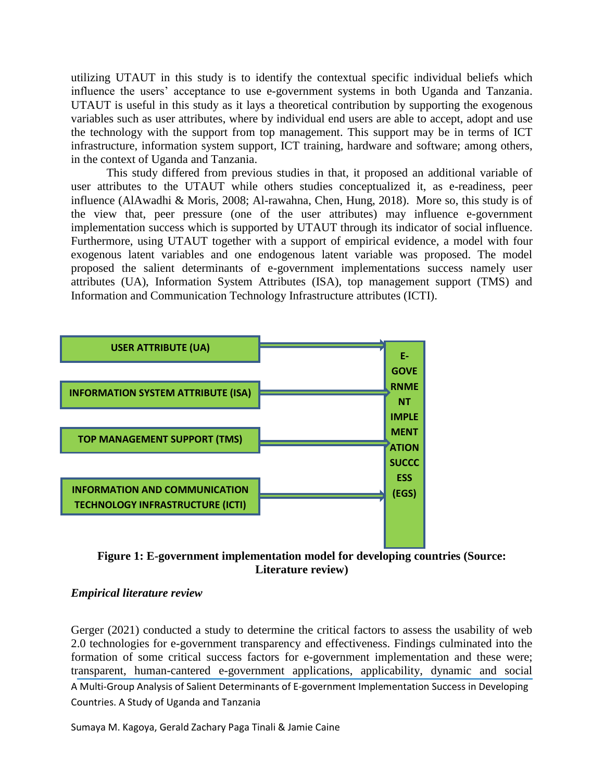utilizing UTAUT in this study is to identify the contextual specific individual beliefs which influence the users' acceptance to use e-government systems in both Uganda and Tanzania. UTAUT is useful in this study as it lays a theoretical contribution by supporting the exogenous variables such as user attributes, where by individual end users are able to accept, adopt and use the technology with the support from top management. This support may be in terms of ICT infrastructure, information system support, ICT training, hardware and software; among others, in the context of Uganda and Tanzania.

This study differed from previous studies in that, it proposed an additional variable of user attributes to the UTAUT while others studies conceptualized it, as e-readiness, peer influence (AlAwadhi & Moris, 2008; Al-rawahna, Chen, Hung, 2018). More so, this study is of the view that, peer pressure (one of the user attributes) may influence e-government implementation success which is supported by UTAUT through its indicator of social influence. Furthermore, using UTAUT together with a support of empirical evidence, a model with four exogenous latent variables and one endogenous latent variable was proposed. The model proposed the salient determinants of e-government implementations success namely user attributes (UA), Information System Attributes (ISA), top management support (TMS) and Information and Communication Technology Infrastructure attributes (ICTI).





#### *Empirical literature review*

A Multi-Group Analysis of Salient Determinants of E-government Implementation Success in Developing Countries. A Study of Uganda and Tanzania Gerger (2021) conducted a study to determine the critical factors to assess the usability of web 2.0 technologies for e-government transparency and effectiveness. Findings culminated into the formation of some critical success factors for e-government implementation and these were; transparent, human-cantered e-government applications, applicability, dynamic and social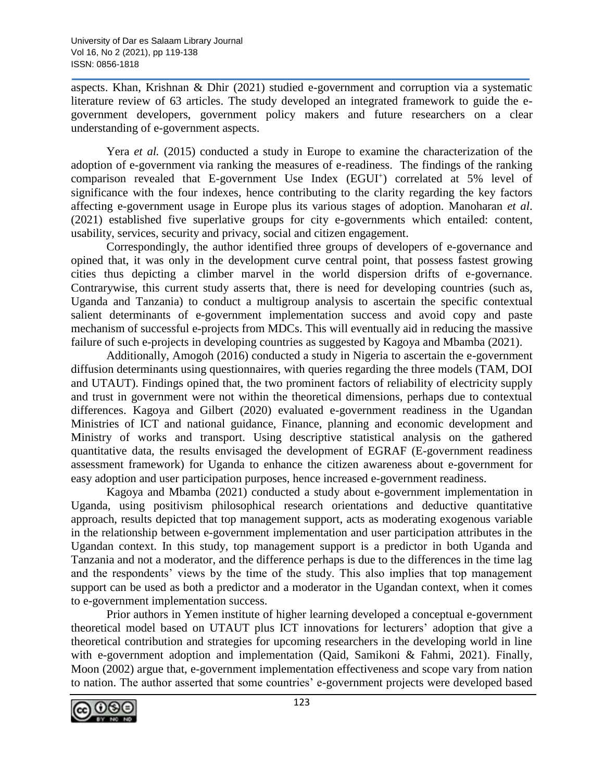aspects. Khan, Krishnan & Dhir (2021) studied e-government and corruption via a systematic literature review of 63 articles. The study developed an integrated framework to guide the egovernment developers, government policy makers and future researchers on a clear understanding of e-government aspects.

Yera *et al.* (2015) conducted a study in Europe to examine the characterization of the adoption of e-government via ranking the measures of e-readiness. The findings of the ranking comparison revealed that E-government Use Index (EGUI<sup>+</sup>) correlated at 5% level of significance with the four indexes, hence contributing to the clarity regarding the key factors affecting e-government usage in Europe plus its various stages of adoption. Manoharan *et al*. (2021) established five superlative groups for city e-governments which entailed: content, usability, services, security and privacy, social and citizen engagement.

Correspondingly, the author identified three groups of developers of e-governance and opined that, it was only in the development curve central point, that possess fastest growing cities thus depicting a climber marvel in the world dispersion drifts of e-governance. Contrarywise, this current study asserts that, there is need for developing countries (such as, Uganda and Tanzania) to conduct a multigroup analysis to ascertain the specific contextual salient determinants of e-government implementation success and avoid copy and paste mechanism of successful e-projects from MDCs. This will eventually aid in reducing the massive failure of such e-projects in developing countries as suggested by Kagoya and Mbamba (2021).

Additionally, Amogoh (2016) conducted a study in Nigeria to ascertain the e-government diffusion determinants using questionnaires, with queries regarding the three models (TAM, DOI and UTAUT). Findings opined that, the two prominent factors of reliability of electricity supply and trust in government were not within the theoretical dimensions, perhaps due to contextual differences. Kagoya and Gilbert (2020) evaluated e-government readiness in the Ugandan Ministries of ICT and national guidance, Finance, planning and economic development and Ministry of works and transport. Using descriptive statistical analysis on the gathered quantitative data, the results envisaged the development of EGRAF (E-government readiness assessment framework) for Uganda to enhance the citizen awareness about e-government for easy adoption and user participation purposes, hence increased e-government readiness.

Kagoya and Mbamba (2021) conducted a study about e-government implementation in Uganda, using positivism philosophical research orientations and deductive quantitative approach, results depicted that top management support, acts as moderating exogenous variable in the relationship between e-government implementation and user participation attributes in the Ugandan context. In this study, top management support is a predictor in both Uganda and Tanzania and not a moderator, and the difference perhaps is due to the differences in the time lag and the respondents' views by the time of the study. This also implies that top management support can be used as both a predictor and a moderator in the Ugandan context, when it comes to e-government implementation success.

Prior authors in Yemen institute of higher learning developed a conceptual e-government theoretical model based on UTAUT plus ICT innovations for lecturers' adoption that give a theoretical contribution and strategies for upcoming researchers in the developing world in line with e-government adoption and implementation (Qaid, Samikoni & Fahmi, 2021). Finally, Moon (2002) argue that, e-government implementation effectiveness and scope vary from nation to nation. The author asserted that some countries' e-government projects were developed based

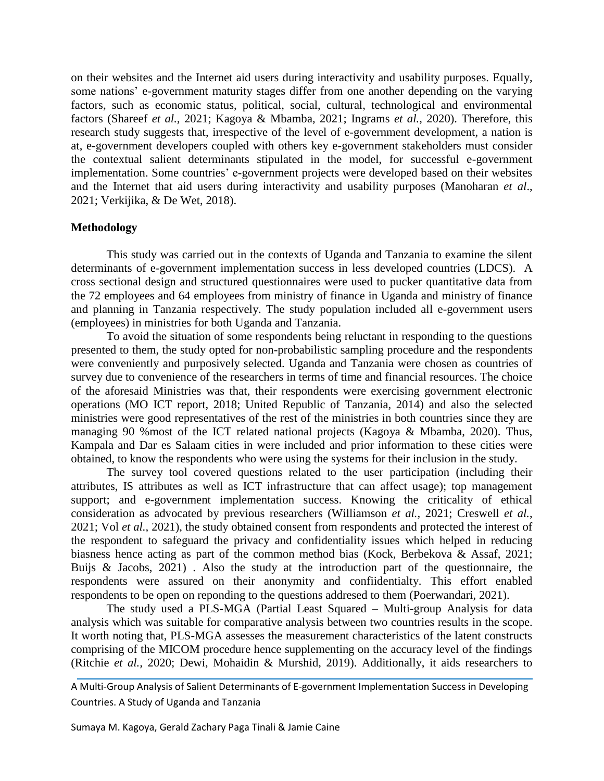on their websites and the Internet aid users during interactivity and usability purposes. Equally, some nations' e-government maturity stages differ from one another depending on the varying factors, such as economic status, political, social, cultural, technological and environmental factors (Shareef *et al.,* 2021; Kagoya & Mbamba, 2021; Ingrams *et al.,* 2020). Therefore, this research study suggests that, irrespective of the level of e-government development, a nation is at, e-government developers coupled with others key e-government stakeholders must consider the contextual salient determinants stipulated in the model, for successful e-government implementation. Some countries' e-government projects were developed based on their websites and the Internet that aid users during interactivity and usability purposes (Manoharan *et al*., 2021; Verkijika, & De Wet, 2018).

#### **Methodology**

This study was carried out in the contexts of Uganda and Tanzania to examine the silent determinants of e-government implementation success in less developed countries (LDCS). A cross sectional design and structured questionnaires were used to pucker quantitative data from the 72 employees and 64 employees from ministry of finance in Uganda and ministry of finance and planning in Tanzania respectively. The study population included all e-government users (employees) in ministries for both Uganda and Tanzania.

To avoid the situation of some respondents being reluctant in responding to the questions presented to them, the study opted for non-probabilistic sampling procedure and the respondents were conveniently and purposively selected. Uganda and Tanzania were chosen as countries of survey due to convenience of the researchers in terms of time and financial resources. The choice of the aforesaid Ministries was that, their respondents were exercising government electronic operations (MO ICT report, 2018; United Republic of Tanzania, 2014) and also the selected ministries were good representatives of the rest of the ministries in both countries since they are managing 90 %most of the ICT related national projects (Kagoya & Mbamba, 2020). Thus, Kampala and Dar es Salaam cities in were included and prior information to these cities were obtained, to know the respondents who were using the systems for their inclusion in the study.

The survey tool covered questions related to the user participation (including their attributes, IS attributes as well as ICT infrastructure that can affect usage); top management support; and e-government implementation success. Knowing the criticality of ethical consideration as advocated by previous researchers (Williamson *et al.,* 2021; Creswell *et al.*, 2021; Vol *et al.,* 2021), the study obtained consent from respondents and protected the interest of the respondent to safeguard the privacy and confidentiality issues which helped in reducing biasness hence acting as part of the common method bias (Kock, Berbekova & Assaf, 2021; Buijs & Jacobs, 2021) . Also the study at the introduction part of the questionnaire, the respondents were assured on their anonymity and confiidentialty. This effort enabled respondents to be open on reponding to the questions addresed to them (Poerwandari, 2021).

The study used a PLS-MGA (Partial Least Squared – Multi-group Analysis for data analysis which was suitable for comparative analysis between two countries results in the scope. It worth noting that, PLS-MGA assesses the measurement characteristics of the latent constructs comprising of the MICOM procedure hence supplementing on the accuracy level of the findings (Ritchie *et al.,* 2020; Dewi, Mohaidin & Murshid, 2019). Additionally, it aids researchers to

A Multi-Group Analysis of Salient Determinants of E-government Implementation Success in Developing Countries. A Study of Uganda and Tanzania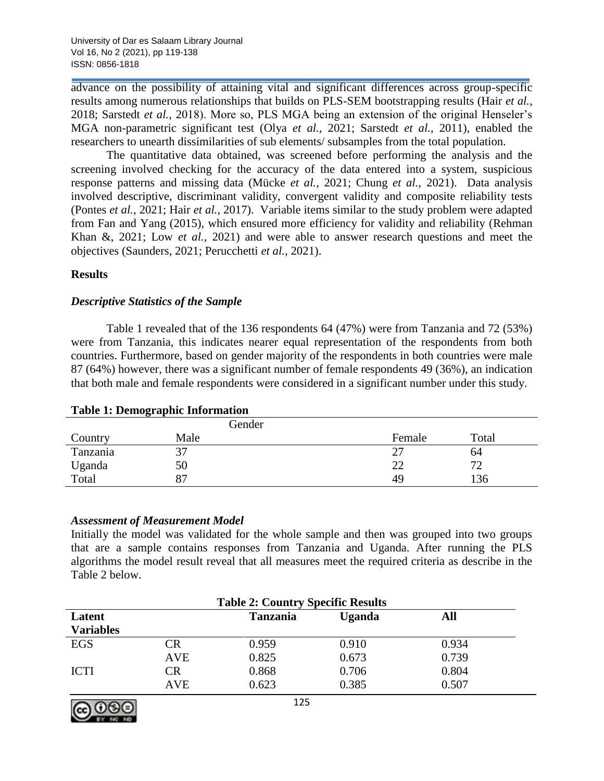advance on the possibility of attaining vital and significant differences across group-specific results among numerous relationships that builds on PLS-SEM bootstrapping results (Hair *et al.,* 2018; Sarstedt *et al.,* 2018). More so, PLS MGA being an extension of the original Henseler's MGA non-parametric significant test (Olya *et al.,* 2021; Sarstedt *et al.,* 2011), enabled the researchers to unearth dissimilarities of sub elements/ subsamples from the total population.

The quantitative data obtained, was screened before performing the analysis and the screening involved checking for the accuracy of the data entered into a system, suspicious response patterns and missing data (Mücke *et al.,* 2021; Chung *et al.,* 2021). Data analysis involved descriptive, discriminant validity, convergent validity and composite reliability tests (Pontes *et al.,* 2021; Hair *et al.,* 2017). Variable items similar to the study problem were adapted from Fan and Yang (2015), which ensured more efficiency for validity and reliability (Rehman Khan &, 2021; Low *et al.,* 2021) and were able to answer research questions and meet the objectives (Saunders, 2021; Perucchetti *et al.,* 2021).

# **Results**

# *Descriptive Statistics of the Sample*

Table 1 revealed that of the 136 respondents 64 (47%) were from Tanzania and 72 (53%) were from Tanzania, this indicates nearer equal representation of the respondents from both countries. Furthermore, based on gender majority of the respondents in both countries were male 87 (64%) however, there was a significant number of female respondents 49 (36%), an indication that both male and female respondents were considered in a significant number under this study.

|          | Gender |        |       |
|----------|--------|--------|-------|
| Country  | Male   | Female | Total |
| Tanzania | 37     | 27     | 64    |
| Uganda   | 50     | 22     | 72    |
| Total    | 87     | 49     | 136   |

#### **Table 1: Demographic Information**

# *Assessment of Measurement Model*

Initially the model was validated for the whole sample and then was grouped into two groups that are a sample contains responses from Tanzania and Uganda. After running the PLS algorithms the model result reveal that all measures meet the required criteria as describe in the Table 2 below.

| <b>Table 2: Country Specific Results</b> |            |                      |        |       |  |  |
|------------------------------------------|------------|----------------------|--------|-------|--|--|
| Latent                                   |            | <b>Tanzania</b>      | Uganda | All   |  |  |
| <b>Variables</b>                         |            |                      |        |       |  |  |
| EGS                                      | CR         | 0.959                | 0.910  | 0.934 |  |  |
|                                          | <b>AVE</b> | 0.825                | 0.673  | 0.739 |  |  |
| <b>ICTI</b>                              | CR         | 0.868                | 0.706  | 0.804 |  |  |
|                                          | <b>AVE</b> | 0.623                | 0.385  | 0.507 |  |  |
|                                          |            | $\sim$ $\sim$ $\sim$ |        |       |  |  |

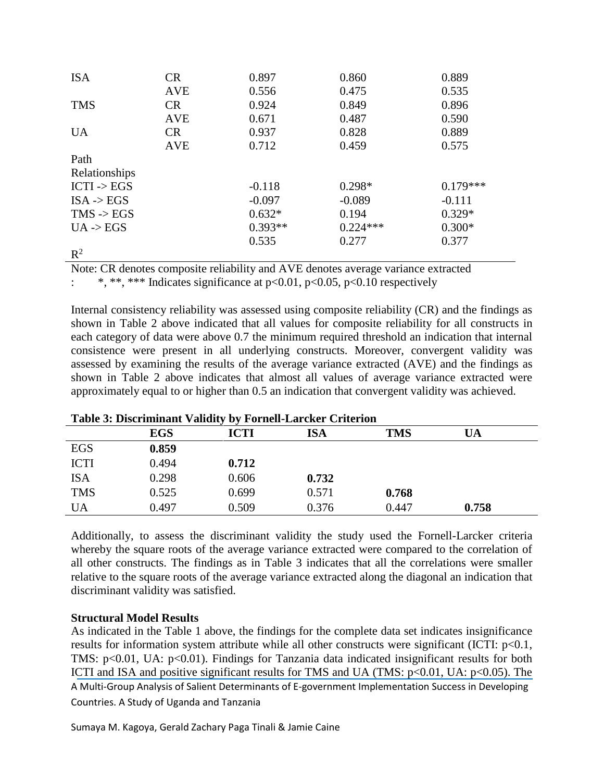| <b>ISA</b>             | CR         | 0.897     | 0.860      | 0.889      |
|------------------------|------------|-----------|------------|------------|
|                        | <b>AVE</b> | 0.556     | 0.475      | 0.535      |
| <b>TMS</b>             | <b>CR</b>  | 0.924     | 0.849      | 0.896      |
|                        | <b>AVE</b> | 0.671     | 0.487      | 0.590      |
| <b>UA</b>              | CR         | 0.937     | 0.828      | 0.889      |
|                        | <b>AVE</b> | 0.712     | 0.459      | 0.575      |
| Path                   |            |           |            |            |
| Relationships          |            |           |            |            |
| $ICTI \rightarrow EGS$ |            | $-0.118$  | $0.298*$   | $0.179***$ |
| $ISA \rightarrow EGS$  |            | $-0.097$  | $-0.089$   | $-0.111$   |
| $TMS \rightarrow EGS$  |            | $0.632*$  | 0.194      | $0.329*$   |
| UA > EGS               |            | $0.393**$ | $0.224***$ | $0.300*$   |
|                        |            | 0.535     | 0.277      | 0.377      |
| $\mathbb{R}^2$         |            |           |            |            |

Note: CR denotes composite reliability and AVE denotes average variance extracted

: \*, \*\*, \*\*\* Indicates significance at p<0.01, p<0.05, p<0.10 respectively

Internal consistency reliability was assessed using composite reliability (CR) and the findings as shown in Table 2 above indicated that all values for composite reliability for all constructs in each category of data were above 0.7 the minimum required threshold an indication that internal consistence were present in all underlying constructs. Moreover, convergent validity was assessed by examining the results of the average variance extracted (AVE) and the findings as shown in Table 2 above indicates that almost all values of average variance extracted were approximately equal to or higher than 0.5 an indication that convergent validity was achieved.

| <b>Lavie 5. Discriminant vanuity by Furnen-Larence Criterium</b> |            |       |       |            |       |  |  |
|------------------------------------------------------------------|------------|-------|-------|------------|-------|--|--|
|                                                                  | <b>EGS</b> | ICTI  | ISA   | <b>TMS</b> | UA    |  |  |
| EGS                                                              | 0.859      |       |       |            |       |  |  |
| <b>ICTI</b>                                                      | 0.494      | 0.712 |       |            |       |  |  |
| <b>ISA</b>                                                       | 0.298      | 0.606 | 0.732 |            |       |  |  |
| <b>TMS</b>                                                       | 0.525      | 0.699 | 0.571 | 0.768      |       |  |  |
| <b>UA</b>                                                        | 0.497      | 0.509 | 0.376 | 0.447      | 0.758 |  |  |

| Table 3: Discriminant Validity by Fornell-Larcker Criterion |  |  |  |  |  |  |  |  |  |  |  |  |  |
|-------------------------------------------------------------|--|--|--|--|--|--|--|--|--|--|--|--|--|
|-------------------------------------------------------------|--|--|--|--|--|--|--|--|--|--|--|--|--|

Additionally, to assess the discriminant validity the study used the Fornell-Larcker criteria whereby the square roots of the average variance extracted were compared to the correlation of all other constructs. The findings as in Table 3 indicates that all the correlations were smaller relative to the square roots of the average variance extracted along the diagonal an indication that discriminant validity was satisfied.

# **Structural Model Results**

A Multi-Group Analysis of Salient Determinants of E-government Implementation Success in Developing Countries. A Study of Uganda and Tanzania As indicated in the Table 1 above, the findings for the complete data set indicates insignificance results for information system attribute while all other constructs were significant (ICTI:  $p<0.1$ , TMS: p<0.01, UA: p<0.01). Findings for Tanzania data indicated insignificant results for both ICTI and ISA and positive significant results for TMS and UA (TMS:  $p<0.01$ , UA:  $p<0.05$ ). The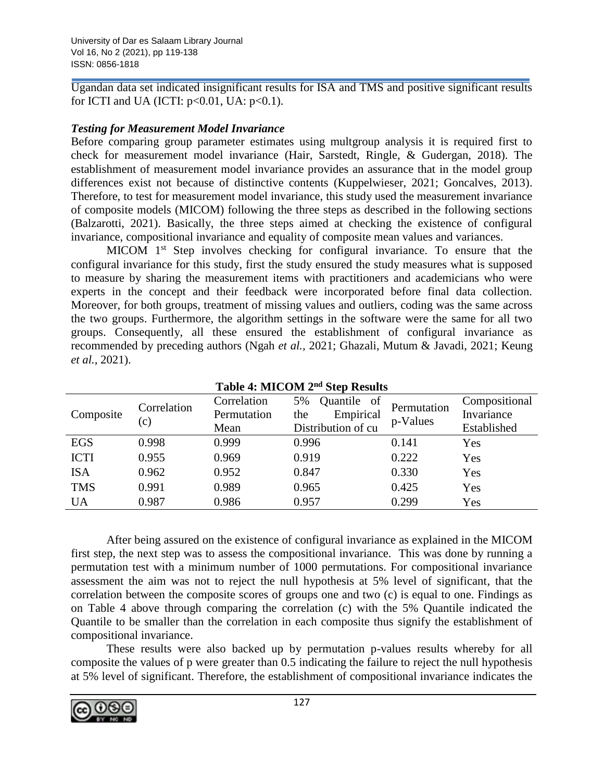Ugandan data set indicated insignificant results for ISA and TMS and positive significant results for ICTI and UA (ICTI:  $p<0.01$ , UA:  $p<0.1$ ).

# *Testing for Measurement Model Invariance*

Before comparing group parameter estimates using multgroup analysis it is required first to check for measurement model invariance (Hair, Sarstedt, Ringle, & Gudergan, 2018). The establishment of measurement model invariance provides an assurance that in the model group differences exist not because of distinctive contents (Kuppelwieser, 2021; Goncalves, 2013). Therefore, to test for measurement model invariance, this study used the measurement invariance of composite models (MICOM) following the three steps as described in the following sections (Balzarotti, 2021). Basically, the three steps aimed at checking the existence of configural invariance, compositional invariance and equality of composite mean values and variances.

MICOM  $1<sup>st</sup>$  Step involves checking for configural invariance. To ensure that the configural invariance for this study, first the study ensured the study measures what is supposed to measure by sharing the measurement items with practitioners and academicians who were experts in the concept and their feedback were incorporated before final data collection. Moreover, for both groups, treatment of missing values and outliers, coding was the same across the two groups. Furthermore, the algorithm settings in the software were the same for all two groups. Consequently, all these ensured the establishment of configural invariance as recommended by preceding authors (Ngah *et al.,* 2021; Ghazali, Mutum & Javadi, 2021; Keung *et al.,* 2021).

| Composite   | Correlation<br>$\left( $ | Correlation<br>Permutation<br>Mean | 5%<br>Quantile of<br>Empirical<br>the<br>Distribution of cu | Permutation<br>p-Values | Compositional<br>Invariance<br>Established |
|-------------|--------------------------|------------------------------------|-------------------------------------------------------------|-------------------------|--------------------------------------------|
| EGS         | 0.998                    | 0.999                              | 0.996                                                       | 0.141                   | Yes                                        |
| <b>ICTI</b> | 0.955                    | 0.969                              | 0.919                                                       | 0.222                   | Yes                                        |
| <b>ISA</b>  | 0.962                    | 0.952                              | 0.847                                                       | 0.330                   | Yes                                        |
| <b>TMS</b>  | 0.991                    | 0.989                              | 0.965                                                       | 0.425                   | Yes                                        |
| <b>UA</b>   | 0.987                    | 0.986                              | 0.957                                                       | 0.299                   | Yes                                        |

**Table 4: MICOM 2nd Step Results**

After being assured on the existence of configural invariance as explained in the MICOM first step, the next step was to assess the compositional invariance. This was done by running a permutation test with a minimum number of 1000 permutations. For compositional invariance assessment the aim was not to reject the null hypothesis at 5% level of significant, that the correlation between the composite scores of groups one and two (c) is equal to one. Findings as on Table 4 above through comparing the correlation (c) with the 5% Quantile indicated the Quantile to be smaller than the correlation in each composite thus signify the establishment of compositional invariance.

These results were also backed up by permutation p-values results whereby for all composite the values of p were greater than 0.5 indicating the failure to reject the null hypothesis at 5% level of significant. Therefore, the establishment of compositional invariance indicates the

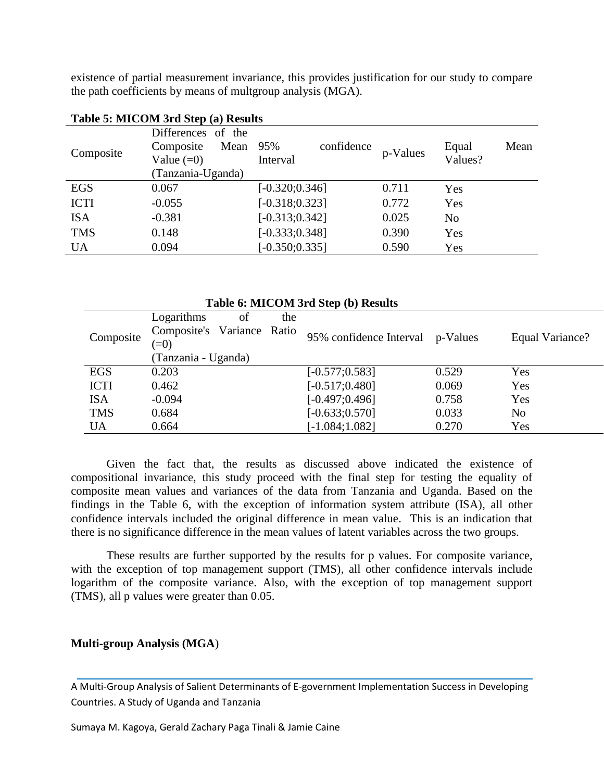existence of partial measurement invariance, this provides justification for our study to compare the path coefficients by means of multgroup analysis (MGA).

|             | Differences of the | 95%<br>confidence |          |                |
|-------------|--------------------|-------------------|----------|----------------|
| Composite   | Mean<br>Composite  |                   | p-Values | Mean<br>Equal  |
|             | Value $(=0)$       | Interval          |          | Values?        |
|             | (Tanzania-Uganda)  |                   |          |                |
| <b>EGS</b>  | 0.067              | $[-0.320; 0.346]$ | 0.711    | Yes            |
| <b>ICTI</b> | $-0.055$           | $[-0.318; 0.323]$ | 0.772    | Yes            |
| <b>ISA</b>  | $-0.381$           | $[-0.313; 0.342]$ | 0.025    | N <sub>o</sub> |
| <b>TMS</b>  | 0.148              | $[-0.333; 0.348]$ | 0.390    | Yes            |
| <b>UA</b>   | 0.094              | $[-0.350; 0.335]$ | 0.590    | Yes            |
|             |                    |                   |          |                |

#### **Table 5: MICOM 3rd Step (a) Results**

| Logarithms<br>of<br>the<br>Composite's Variance Ratio       | Table 6: MICOM 3rd Step (b) Results |  |  |  |  |  |
|-------------------------------------------------------------|-------------------------------------|--|--|--|--|--|
|                                                             |                                     |  |  |  |  |  |
|                                                             |                                     |  |  |  |  |  |
| 95% confidence Interval p-Values<br>Composite<br>$(=0)$     | Equal Variance?                     |  |  |  |  |  |
| (Tanzania - Uganda)                                         |                                     |  |  |  |  |  |
| <b>EGS</b><br>0.529<br>0.203<br>$[-0.577; 0.583]$<br>Yes    |                                     |  |  |  |  |  |
| $[-0.517; 0.480]$<br><b>ICTI</b><br>0.069<br>0.462<br>Yes   |                                     |  |  |  |  |  |
| $[-0.497; 0.496]$<br>$-0.094$<br>0.758<br><b>ISA</b><br>Yes |                                     |  |  |  |  |  |
| <b>TMS</b><br>$[-0.633; 0.570]$<br>0.033<br>0.684<br>No     |                                     |  |  |  |  |  |
| $[-1.084;1.082]$<br>0.664<br>0.270<br>Yes<br><b>UA</b>      |                                     |  |  |  |  |  |

Given the fact that, the results as discussed above indicated the existence of compositional invariance, this study proceed with the final step for testing the equality of composite mean values and variances of the data from Tanzania and Uganda. Based on the findings in the Table 6, with the exception of information system attribute (ISA), all other confidence intervals included the original difference in mean value. This is an indication that there is no significance difference in the mean values of latent variables across the two groups.

These results are further supported by the results for p values. For composite variance, with the exception of top management support (TMS), all other confidence intervals include logarithm of the composite variance. Also, with the exception of top management support (TMS), all p values were greater than 0.05.

#### **Multi-group Analysis (MGA**)

A Multi-Group Analysis of Salient Determinants of E-government Implementation Success in Developing Countries. A Study of Uganda and Tanzania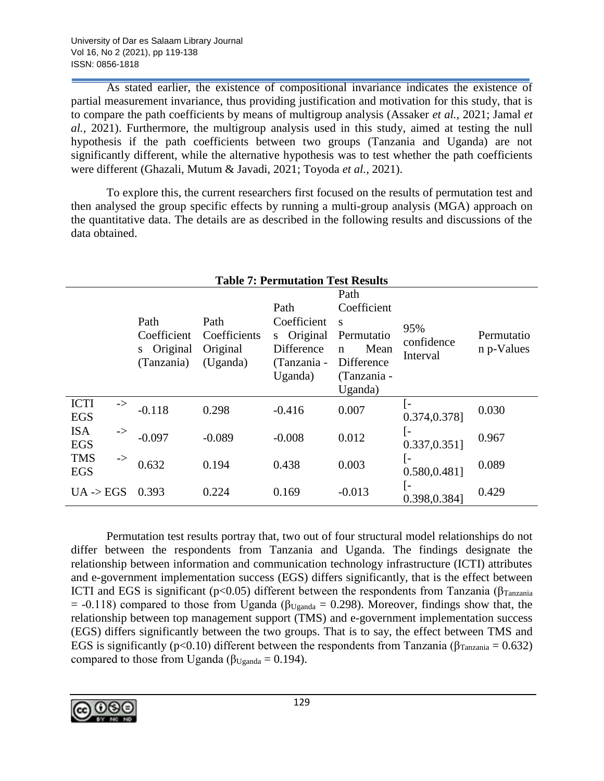As stated earlier, the existence of compositional invariance indicates the existence of partial measurement invariance, thus providing justification and motivation for this study, that is to compare the path coefficients by means of multigroup analysis (Assaker *et al.,* 2021; Jamal *et al.,* 2021). Furthermore, the multigroup analysis used in this study, aimed at testing the null hypothesis if the path coefficients between two groups (Tanzania and Uganda) are not significantly different, while the alternative hypothesis was to test whether the path coefficients were different (Ghazali, Mutum & Javadi, 2021; Toyoda *et al.,* 2021).

To explore this, the current researchers first focused on the results of permutation test and then analysed the group specific effects by running a multi-group analysis (MGA) approach on the quantitative data. The details are as described in the following results and discussions of the data obtained.

| <b>Table 7: Permutation Test Results</b>  |                                                    |                                              |                                                                               |                                                                                             |                                       |                          |  |  |
|-------------------------------------------|----------------------------------------------------|----------------------------------------------|-------------------------------------------------------------------------------|---------------------------------------------------------------------------------------------|---------------------------------------|--------------------------|--|--|
|                                           | Path<br>Coefficient<br>Original<br>S<br>(Tanzania) | Path<br>Coefficients<br>Original<br>(Uganda) | Path<br>Coefficient<br>Original<br>S.<br>Difference<br>(Tanzania -<br>Uganda) | Path<br>Coefficient<br>S<br>Permutatio<br>Mean<br>n<br>Difference<br>(Tanzania -<br>Uganda) | 95%<br>confidence<br>Interval         | Permutatio<br>n p-Values |  |  |
| <b>ICTI</b><br>-><br><b>EGS</b>           | $-0.118$                                           | 0.298                                        | $-0.416$                                                                      | 0.007                                                                                       | l-<br>0.374,0.378]                    | 0.030                    |  |  |
| <b>ISA</b><br>$\rightarrow$<br><b>EGS</b> | $-0.097$                                           | $-0.089$                                     | $-0.008$                                                                      | 0.012                                                                                       | [-<br>$0.337, 0.351$ ]                | 0.967                    |  |  |
| <b>TMS</b><br>$\rightarrow$<br><b>EGS</b> | 0.632                                              | 0.194                                        | 0.438                                                                         | 0.003                                                                                       | $\lceil - \rceil$<br>$0.580, 0.481$ ] | 0.089                    |  |  |
| $UA \rightarrow EGS$                      | 0.393                                              | 0.224                                        | 0.169                                                                         | $-0.013$                                                                                    | $\left( -\right)$<br>0.398,0.384]     | 0.429                    |  |  |

Permutation test results portray that, two out of four structural model relationships do not differ between the respondents from Tanzania and Uganda. The findings designate the relationship between information and communication technology infrastructure (ICTI) attributes and e-government implementation success (EGS) differs significantly, that is the effect between ICTI and EGS is significant ( $p<0.05$ ) different between the respondents from Tanzania (β<sub>Tanzania</sub>)  $= -0.118$ ) compared to those from Uganda ( $\beta_{Uganda} = 0.298$ ). Moreover, findings show that, the relationship between top management support (TMS) and e-government implementation success (EGS) differs significantly between the two groups. That is to say, the effect between TMS and EGS is significantly (p<0.10) different between the respondents from Tanzania ( $\beta_{\text{Tanzania}} = 0.632$ ) compared to those from Uganda ( $\beta_{Uganda} = 0.194$ ).

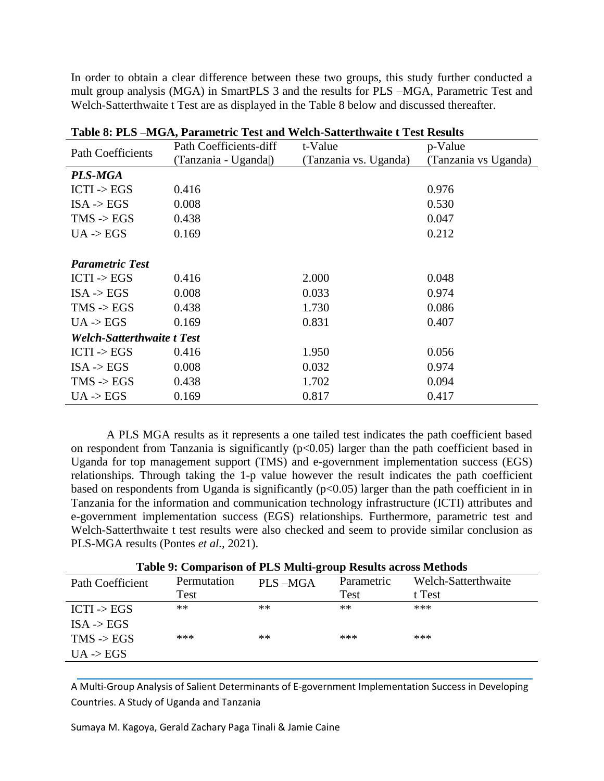In order to obtain a clear difference between these two groups, this study further conducted a mult group analysis (MGA) in SmartPLS 3 and the results for PLS –MGA, Parametric Test and Welch-Satterthwaite t Test are as displayed in the Table 8 below and discussed thereafter.

| Table 8: PLS –MGA, Parametric Test and Weich-Satterthwalle LTest Results |                        |                       |                      |  |  |  |  |
|--------------------------------------------------------------------------|------------------------|-----------------------|----------------------|--|--|--|--|
| <b>Path Coefficients</b>                                                 | Path Coefficients-diff | t-Value               | p-Value              |  |  |  |  |
|                                                                          | (Tanzania - Uganda)    | (Tanzania vs. Uganda) | (Tanzania vs Uganda) |  |  |  |  |
| PLS-MGA                                                                  |                        |                       |                      |  |  |  |  |
| $ICTI \rightarrow EGS$                                                   | 0.416                  |                       | 0.976                |  |  |  |  |
| $ISA \rightarrow EGS$                                                    | 0.008                  |                       | 0.530                |  |  |  |  |
| $TMS \rightarrow EGS$                                                    | 0.438                  |                       | 0.047                |  |  |  |  |
| $UA$ -> $EGS$                                                            | 0.169                  |                       | 0.212                |  |  |  |  |
|                                                                          |                        |                       |                      |  |  |  |  |
| <b>Parametric Test</b>                                                   |                        |                       |                      |  |  |  |  |
| $ICTI \rightarrow EGS$                                                   | 0.416                  | 2.000                 | 0.048                |  |  |  |  |
| $ISA \rightarrow EGS$                                                    | 0.008                  | 0.033                 | 0.974                |  |  |  |  |
| $TMS \rightarrow EGS$                                                    | 0.438                  | 1.730                 | 0.086                |  |  |  |  |
| $UA$ -> $EGS$                                                            | 0.169                  | 0.831                 | 0.407                |  |  |  |  |
| <b>Welch-Satterthwaite t Test</b>                                        |                        |                       |                      |  |  |  |  |
| $ICTI \rightarrow EGS$                                                   | 0.416                  | 1.950                 | 0.056                |  |  |  |  |
| $ISA$ -> $EGS$                                                           | 0.008                  | 0.032                 | 0.974                |  |  |  |  |
| $TMS \rightarrow EGS$                                                    | 0.438                  | 1.702                 | 0.094                |  |  |  |  |
| UA > EGS                                                                 | 0.169                  | 0.817                 | 0.417                |  |  |  |  |

**Table 8: PLS –MGA, Parametric Test and Welch-Satterthwaite t Test Results**

A PLS MGA results as it represents a one tailed test indicates the path coefficient based on respondent from Tanzania is significantly  $(p<0.05)$  larger than the path coefficient based in Uganda for top management support (TMS) and e-government implementation success (EGS) relationships. Through taking the 1-p value however the result indicates the path coefficient based on respondents from Uganda is significantly  $(p<0.05)$  larger than the path coefficient in in Tanzania for the information and communication technology infrastructure (ICTI) attributes and e-government implementation success (EGS) relationships. Furthermore, parametric test and Welch-Satterthwaite t test results were also checked and seem to provide similar conclusion as PLS-MGA results (Pontes *et al.,* 2021).

| Path Coefficient       | Permutation | PLS-MGA | Parametric | Welch-Satterthwaite |
|------------------------|-------------|---------|------------|---------------------|
|                        | Test        |         | Test       | t Test              |
| $ICTI \rightarrow EGS$ | **          | $**$    | **         | ***                 |
| $ISA \rightarrow EGS$  |             |         |            |                     |
| $TMS \rightarrow EGS$  | ***         | **      | ***        | ***                 |
| UA > EGS               |             |         |            |                     |

A Multi-Group Analysis of Salient Determinants of E-government Implementation Success in Developing Countries. A Study of Uganda and Tanzania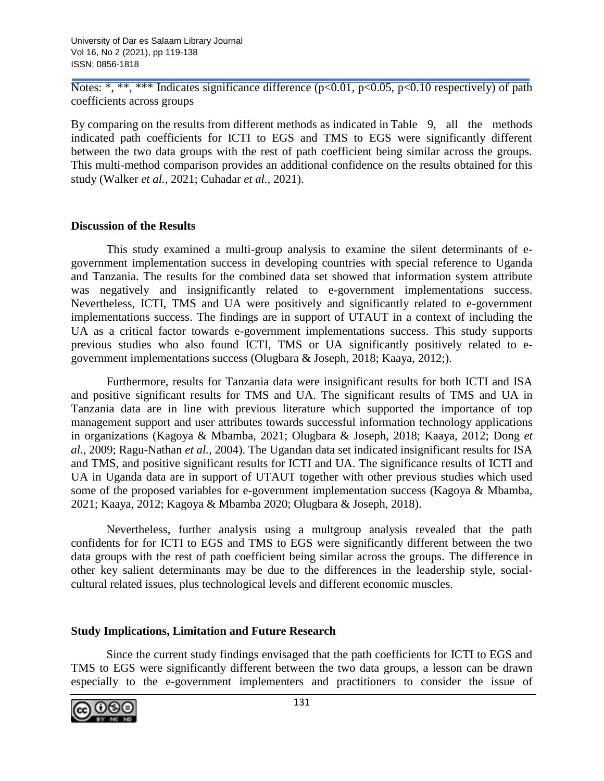Notes: \*, \*\*, \*\*\* Indicates significance difference ( $p<0.01$ ,  $p<0.05$ ,  $p<0.10$  respectively) of path coefficients across groups

By comparing on the results from different methods as indicated in Table 9, all the methods indicated path coefficients for ICTI to EGS and TMS to EGS were significantly different between the two data groups with the rest of path coefficient being similar across the groups. This multi-method comparison provides an additional confidence on the results obtained for this study (Walker *et al.,* 2021; Cuhadar *et al.,* 2021).

# **Discussion of the Results**

This study examined a multi-group analysis to examine the silent determinants of egovernment implementation success in developing countries with special reference to Uganda and Tanzania. The results for the combined data set showed that information system attribute was negatively and insignificantly related to e-government implementations success. Nevertheless, ICTI, TMS and UA were positively and significantly related to e-government implementations success. The findings are in support of UTAUT in a context of including the UA as a critical factor towards e-government implementations success. This study supports previous studies who also found ICTI, TMS or UA significantly positively related to egovernment implementations success (Olugbara & Joseph, 2018; Kaaya, 2012;).

Furthermore, results for Tanzania data were insignificant results for both ICTI and ISA and positive significant results for TMS and UA. The significant results of TMS and UA in Tanzania data are in line with previous literature which supported the importance of top management support and user attributes towards successful information technology applications in organizations (Kagoya & Mbamba, 2021; Olugbara & Joseph, 2018; Kaaya, 2012; Dong *et al.,* 2009; Ragu-Nathan *et al.,* 2004). The Ugandan data set indicated insignificant results for ISA and TMS, and positive significant results for ICTI and UA. The significance results of ICTI and UA in Uganda data are in support of UTAUT together with other previous studies which used some of the proposed variables for e-government implementation success (Kagoya & Mbamba, 2021; Kaaya, 2012; Kagoya & Mbamba 2020; Olugbara & Joseph, 2018).

Nevertheless, further analysis using a multgroup analysis revealed that the path confidents for for ICTI to EGS and TMS to EGS were significantly different between the two data groups with the rest of path coefficient being similar across the groups. The difference in other key salient determinants may be due to the differences in the leadership style, socialcultural related issues, plus technological levels and different economic muscles.

# **Study Implications, Limitation and Future Research**

Since the current study findings envisaged that the path coefficients for ICTI to EGS and TMS to EGS were significantly different between the two data groups, a lesson can be drawn especially to the e-government implementers and practitioners to consider the issue of

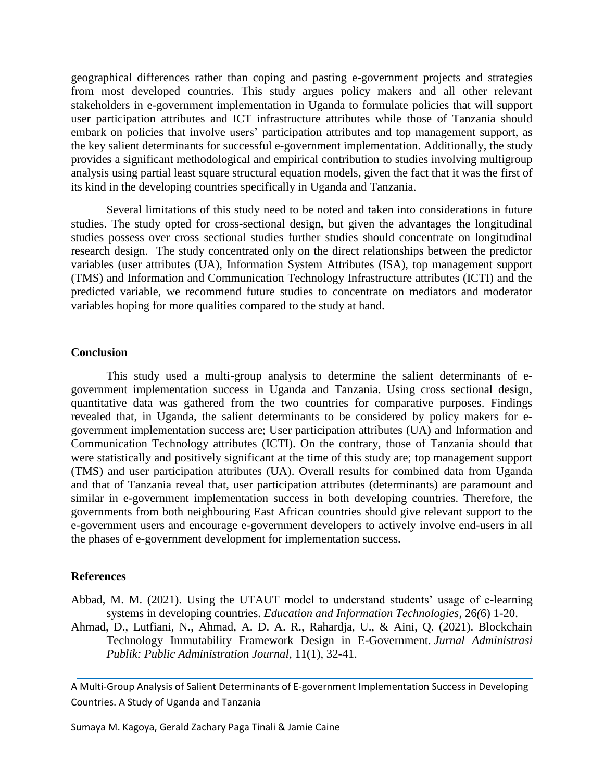geographical differences rather than coping and pasting e-government projects and strategies from most developed countries. This study argues policy makers and all other relevant stakeholders in e-government implementation in Uganda to formulate policies that will support user participation attributes and ICT infrastructure attributes while those of Tanzania should embark on policies that involve users' participation attributes and top management support, as the key salient determinants for successful e-government implementation. Additionally, the study provides a significant methodological and empirical contribution to studies involving multigroup analysis using partial least square structural equation models, given the fact that it was the first of its kind in the developing countries specifically in Uganda and Tanzania.

Several limitations of this study need to be noted and taken into considerations in future studies. The study opted for cross-sectional design, but given the advantages the longitudinal studies possess over cross sectional studies further studies should concentrate on longitudinal research design. The study concentrated only on the direct relationships between the predictor variables (user attributes (UA), Information System Attributes (ISA), top management support (TMS) and Information and Communication Technology Infrastructure attributes (ICTI) and the predicted variable, we recommend future studies to concentrate on mediators and moderator variables hoping for more qualities compared to the study at hand.

#### **Conclusion**

This study used a multi-group analysis to determine the salient determinants of egovernment implementation success in Uganda and Tanzania. Using cross sectional design, quantitative data was gathered from the two countries for comparative purposes. Findings revealed that, in Uganda, the salient determinants to be considered by policy makers for egovernment implementation success are; User participation attributes (UA) and Information and Communication Technology attributes (ICTI). On the contrary, those of Tanzania should that were statistically and positively significant at the time of this study are; top management support (TMS) and user participation attributes (UA). Overall results for combined data from Uganda and that of Tanzania reveal that, user participation attributes (determinants) are paramount and similar in e-government implementation success in both developing countries. Therefore, the governments from both neighbouring East African countries should give relevant support to the e-government users and encourage e-government developers to actively involve end-users in all the phases of e-government development for implementation success.

#### **References**

- Abbad, M. M. (2021). Using the UTAUT model to understand students' usage of e-learning systems in developing countries. *Education and Information Technologies*, 26*(*6) 1-20.
- Ahmad, D., Lutfiani, N., Ahmad, A. D. A. R., Rahardja, U., & Aini, Q. (2021). Blockchain Technology Immutability Framework Design in E-Government. *Jurnal Administrasi Publik: Public Administration Journal*, 11(1), 32-41.

A Multi-Group Analysis of Salient Determinants of E-government Implementation Success in Developing Countries. A Study of Uganda and Tanzania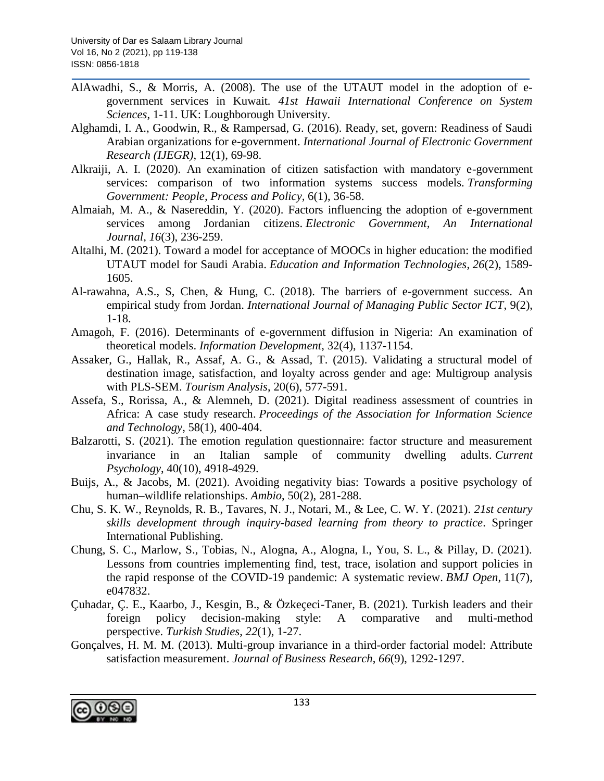- AlAwadhi, S., & Morris, A. (2008). The use of the UTAUT model in the adoption of egovernment services in Kuwait*. 41st Hawaii International Conference on System Sciences*, 1-11. UK: Loughborough University.
- Alghamdi, I. A., Goodwin, R., & Rampersad, G. (2016). Ready, set, govern: Readiness of Saudi Arabian organizations for e-government. *International Journal of Electronic Government Research (IJEGR)*, 12(1), 69-98.
- Alkraiji, A. I. (2020). An examination of citizen satisfaction with mandatory e-government services: comparison of two information systems success models. *Transforming Government: People, Process and Policy,* 6(1), 36-58.
- Almaiah, M. A., & Nasereddin, Y. (2020). Factors influencing the adoption of e-government services among Jordanian citizens. *Electronic Government, An International Journal*, *16*(3), 236-259.
- Altalhi, M. (2021). Toward a model for acceptance of MOOCs in higher education: the modified UTAUT model for Saudi Arabia. *Education and Information Technologies*, *26*(2), 1589- 1605.
- Al-rawahna, A.S., S, Chen, & Hung, C. (2018). The barriers of e-government success. An empirical study from Jordan. *International Journal of Managing Public Sector ICT*, 9(2), 1-18.
- Amagoh, F. (2016). Determinants of e-government diffusion in Nigeria: An examination of theoretical models. *Information Development*, 32(4), 1137-1154.
- Assaker, G., Hallak, R., Assaf, A. G., & Assad, T. (2015). Validating a structural model of destination image, satisfaction, and loyalty across gender and age: Multigroup analysis with PLS-SEM. *Tourism Analysis*, 20(6), 577-591.
- Assefa, S., Rorissa, A., & Alemneh, D. (2021). Digital readiness assessment of countries in Africa: A case study research. *Proceedings of the Association for Information Science and Technology*, 58(1), 400-404.
- Balzarotti, S. (2021). The emotion regulation questionnaire: factor structure and measurement invariance in an Italian sample of community dwelling adults. *Current Psychology*, 40(10), 4918-4929.
- Buijs, A., & Jacobs, M. (2021). Avoiding negativity bias: Towards a positive psychology of human–wildlife relationships. *Ambio*, 50(2), 281-288.
- Chu, S. K. W., Reynolds, R. B., Tavares, N. J., Notari, M., & Lee, C. W. Y. (2021). *21st century skills development through inquiry-based learning from theory to practice*. Springer International Publishing.
- Chung, S. C., Marlow, S., Tobias, N., Alogna, A., Alogna, I., You, S. L., & Pillay, D. (2021). Lessons from countries implementing find, test, trace, isolation and support policies in the rapid response of the COVID-19 pandemic: A systematic review. *BMJ Open*, 11(7), e047832.
- Çuhadar, Ç. E., Kaarbo, J., Kesgin, B., & Özkeçeci-Taner, B. (2021). Turkish leaders and their foreign policy decision-making style: A comparative and multi-method perspective. *Turkish Studies*, *22*(1), 1-27.
- Gonçalves, H. M. M. (2013). Multi-group invariance in a third-order factorial model: Attribute satisfaction measurement. *Journal of Business Research*, *66*(9), 1292-1297.

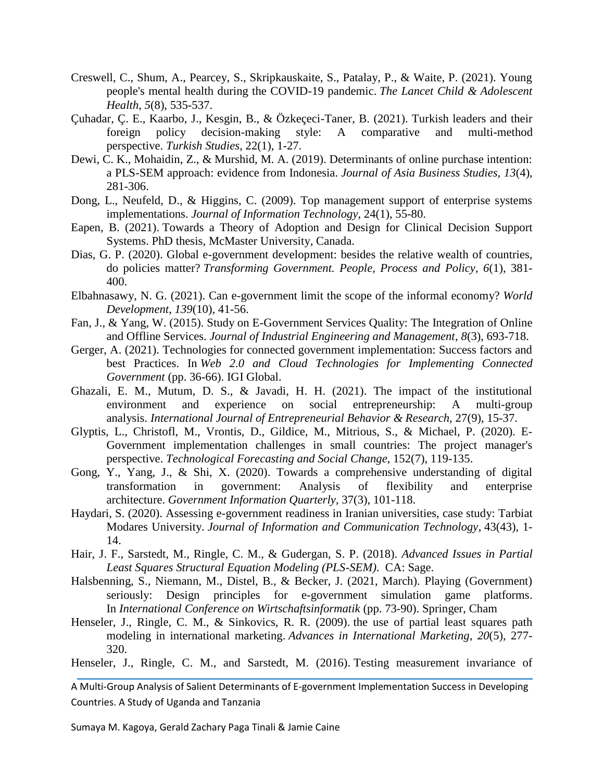- Creswell, C., Shum, A., Pearcey, S., Skripkauskaite, S., Patalay, P., & Waite, P. (2021). Young people's mental health during the COVID-19 pandemic. *The Lancet Child & Adolescent Health*, *5*(8), 535-537.
- Çuhadar, Ç. E., Kaarbo, J., Kesgin, B., & Özkeçeci-Taner, B. (2021). Turkish leaders and their foreign policy decision-making style: A comparative and multi-method perspective. *Turkish Studies*, 22(1), 1-27.
- Dewi, C. K., Mohaidin, Z., & Murshid, M. A. (2019). Determinants of online purchase intention: a PLS-SEM approach: evidence from Indonesia. *Journal of Asia Business Studies, 13*(4), 281-306.
- Dong, L., Neufeld, D., & Higgins, C. (2009). Top management support of enterprise systems implementations. *Journal of Information Technology*, 24(1), 55-80.
- Eapen, B. (2021). Towards a Theory of Adoption and Design for Clinical Decision Support Systems. PhD thesis, McMaster University, Canada.
- Dias, G. P. (2020). Global e-government development: besides the relative wealth of countries, do policies matter? *Transforming Government. People, Process and Policy, 6*(1), 381- 400.
- Elbahnasawy, N. G. (2021). Can e-government limit the scope of the informal economy? *World Development*, *139*(10), 41-56.
- Fan, J., & Yang, W. (2015). Study on E-Government Services Quality: The Integration of Online and Offline Services. *Journal of Industrial Engineering and Management*, *8*(3), 693-718.
- Gerger, A. (2021). Technologies for connected government implementation: Success factors and best Practices. In *Web 2.0 and Cloud Technologies for Implementing Connected Government* (pp. 36-66). IGI Global.
- Ghazali, E. M., Mutum, D. S., & Javadi, H. H. (2021). The impact of the institutional environment and experience on social entrepreneurship: A multi-group analysis. *International Journal of Entrepreneurial Behavior & Research,* 27(9), 15-37.
- Glyptis, L., Christofl, M., Vrontis, D., Gildice, M., Mitrious, S., & Michael, P. (2020). E-Government implementation challenges in small countries: The project manager's perspective. *Technological Forecasting and Social Change*, 152(7), 119-135.
- Gong, Y., Yang, J., & Shi, X. (2020). Towards a comprehensive understanding of digital transformation in government: Analysis of flexibility and enterprise architecture. *Government Information Quarterly*, 37(3), 101-118.
- Haydari, S. (2020). Assessing e-government readiness in Iranian universities, case study: Tarbiat Modares University. *Journal of Information and Communication Technology*, 43(43), 1- 14.
- Hair, J. F., Sarstedt, M., Ringle, C. M., & Gudergan, S. P. (2018). *Advanced Issues in Partial Least Squares Structural Equation Modeling (PLS-SEM)*. CA: Sage.
- Halsbenning, S., Niemann, M., Distel, B., & Becker, J. (2021, March). Playing (Government) seriously: Design principles for e-government simulation game platforms. In *International Conference on Wirtschaftsinformatik* (pp. 73-90). Springer, Cham
- Henseler, J., Ringle, C. M., & Sinkovics, R. R. (2009). the use of partial least squares path [modeling in international marketing.](https://www.escholar.manchester.ac.uk/uk-ac-man-scw:89555) *Advances in International Marketing*, *20*(5), 277- 320.
- Henseler, J., Ringle, C. M., and Sarstedt, M. (2016). [Testing measurement invariance of](http://www.emeraldinsight.com/doi/abs/10.1108/IMR-09-2014-0304)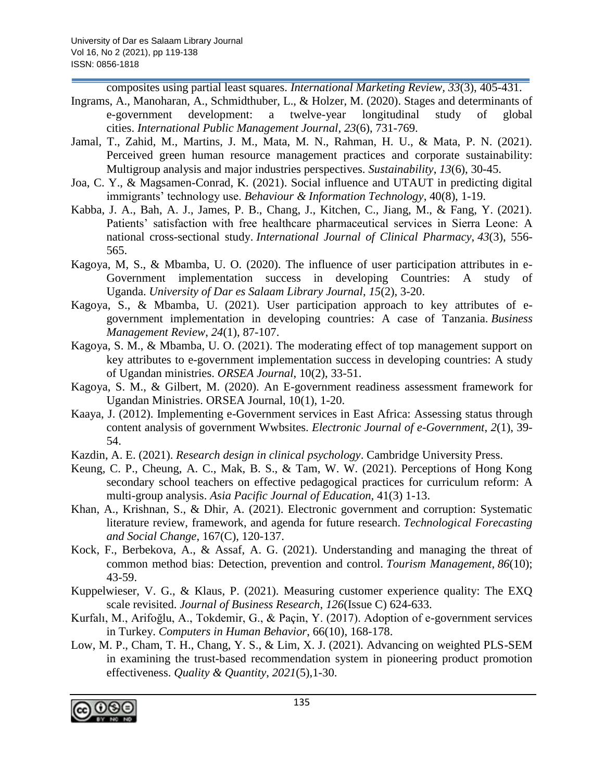[composites using partial least squares.](http://www.emeraldinsight.com/doi/abs/10.1108/IMR-09-2014-0304) *International Marketing Review, 33*(3), 405-431.

- Ingrams, A., Manoharan, A., Schmidthuber, L., & Holzer, M. (2020). Stages and determinants of e-government development: a twelve-year longitudinal study of global cities. *International Public Management Journal*, *23*(6), 731-769.
- Jamal, T., Zahid, M., Martins, J. M., Mata, M. N., Rahman, H. U., & Mata, P. N. (2021). Perceived green human resource management practices and corporate sustainability: Multigroup analysis and major industries perspectives. *Sustainability*, *13*(6), 30-45.
- Joa, C. Y., & Magsamen-Conrad, K. (2021). Social influence and UTAUT in predicting digital immigrants' technology use. *Behaviour & Information Technology*, 40(8), 1-19.
- Kabba, J. A., Bah, A. J., James, P. B., Chang, J., Kitchen, C., Jiang, M., & Fang, Y. (2021). Patients' satisfaction with free healthcare pharmaceutical services in Sierra Leone: A national cross-sectional study. *International Journal of Clinical Pharmacy*, *43*(3), 556- 565.
- Kagoya, M, S., & Mbamba, U. O. (2020). The influence of user participation attributes in e-Government implementation success in developing Countries: A study of Uganda. *University of Dar es Salaam Library Journal*, *15*(2), 3-20.
- Kagoya, S., & Mbamba, U. (2021). User participation approach to key attributes of egovernment implementation in developing countries: A case of Tanzania. *Business Management Review*, *24*(1), 87-107.
- Kagoya, S. M., & Mbamba, U. O. (2021). The moderating effect of top management support on key attributes to e-government implementation success in developing countries: A study of Ugandan ministries. *ORSEA Journal*, 10(2), 33-51.
- Kagoya, S. M., & Gilbert, M. (2020). An E-government readiness assessment framework for Ugandan Ministries. ORSEA Journal, 10(1), 1-20.
- Kaaya, J. (2012). Implementing e-Government services in East Africa: Assessing status through content analysis of government Wwbsites. *Electronic Journal of e-Government*, *2*(1), 39- 54.
- Kazdin, A. E. (2021). *Research design in clinical psychology*. Cambridge University Press.
- Keung, C. P., Cheung, A. C., Mak, B. S., & Tam, W. W. (2021). Perceptions of Hong Kong secondary school teachers on effective pedagogical practices for curriculum reform: A multi-group analysis. *Asia Pacific Journal of Education,* 41(3) 1-13.
- Khan, A., Krishnan, S., & Dhir, A. (2021). Electronic government and corruption: Systematic literature review, framework, and agenda for future research. *Technological Forecasting and Social Change*, 167(C), 120-137.
- Kock, F., Berbekova, A., & Assaf, A. G. (2021). Understanding and managing the threat of common method bias: Detection, prevention and control. *Tourism Management*, *86*(10); 43-59.
- Kuppelwieser, V. G., & Klaus, P. (2021). Measuring customer experience quality: The EXQ scale revisited. *Journal of Business Research*, *126*(Issue C) 624-633.
- Kurfalı, M., Arifoğlu, A., Tokdemir, G., & Paçin, Y. (2017). Adoption of e-government services in Turkey. *Computers in Human Behavior*, 66(10), 168-178.
- Low, M. P., Cham, T. H., Chang, Y. S., & Lim, X. J. (2021). Advancing on weighted PLS-SEM in examining the trust-based recommendation system in pioneering product promotion effectiveness. *Quality & Quantity*, *2021*(5),1-30.

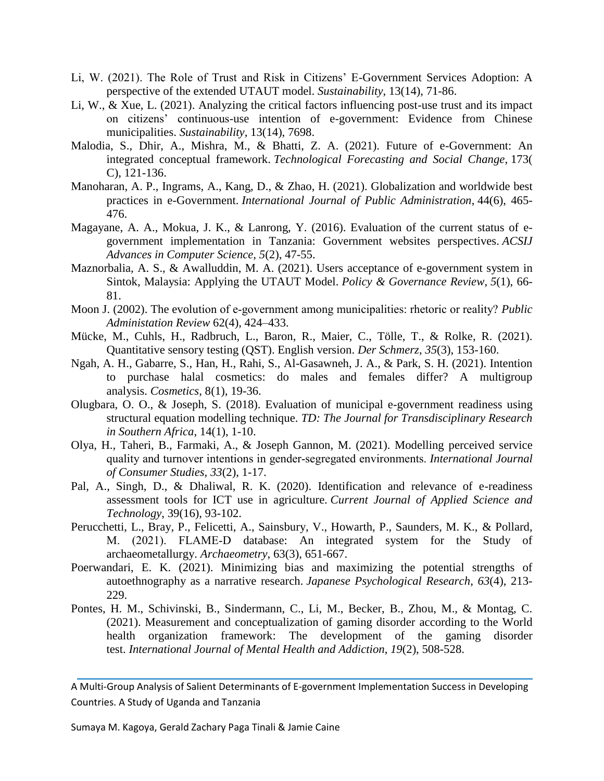- Li, W. (2021). The Role of Trust and Risk in Citizens' E-Government Services Adoption: A perspective of the extended UTAUT model. *Sustainability*, 13(14), 71-86.
- Li, W., & Xue, L. (2021). Analyzing the critical factors influencing post-use trust and its impact on citizens' continuous-use intention of e-government: Evidence from Chinese municipalities. *Sustainability*, 13(14), 7698.
- Malodia, S., Dhir, A., Mishra, M., & Bhatti, Z. A. (2021). Future of e-Government: An integrated conceptual framework. *Technological Forecasting and Social Change*, 173( C), 121-136.
- Manoharan, A. P., Ingrams, A., Kang, D., & Zhao, H. (2021). Globalization and worldwide best practices in e-Government. *International Journal of Public Administration*, 44(6), 465- 476.
- Magayane, A. A., Mokua, J. K., & Lanrong, Y. (2016). Evaluation of the current status of egovernment implementation in Tanzania: Government websites perspectives. *ACSIJ Advances in Computer Science*, *5*(2), 47-55.
- Maznorbalia, A. S., & Awalluddin, M. A. (2021). Users acceptance of e-government system in Sintok, Malaysia: Applying the UTAUT Model. *Policy & Governance Review*, *5*(1), 66- 81.
- Moon J. (2002). The evolution of e‐government among municipalities: rhetoric or reality? *Public Administation Review* 62(4), 424–433.
- Mücke, M., Cuhls, H., Radbruch, L., Baron, R., Maier, C., Tölle, T., & Rolke, R. (2021). Quantitative sensory testing (QST). English version. *Der Schmerz*, *35*(3), 153-160.
- Ngah, A. H., Gabarre, S., Han, H., Rahi, S., Al-Gasawneh, J. A., & Park, S. H. (2021). Intention to purchase halal cosmetics: do males and females differ? A multigroup analysis. *Cosmetics*, 8(1), 19-36.
- Olugbara, O. O., & Joseph, S. (2018). Evaluation of municipal e-government readiness using structural equation modelling technique. *TD: The Journal for Transdisciplinary Research in Southern Africa*, 14(1), 1-10.
- Olya, H., Taheri, B., Farmaki, A., & Joseph Gannon, M. (2021). Modelling perceived service quality and turnover intentions in gender‐segregated environments. *International Journal of Consumer Studies, 33*(2), 1-17.
- Pal, A., Singh, D., & Dhaliwal, R. K. (2020). Identification and relevance of e-readiness assessment tools for ICT use in agriculture. *Current Journal of Applied Science and Technology*, 39(16), 93-102.
- Perucchetti, L., Bray, P., Felicetti, A., Sainsbury, V., Howarth, P., Saunders, M. K., & Pollard, M. (2021). FLAME‐D database: An integrated system for the Study of archaeometallurgy. *Archaeometry*, 63(3), 651-667.
- Poerwandari, E. K. (2021). Minimizing bias and maximizing the potential strengths of autoethnography as a narrative research. *Japanese Psychological Research*, *63*(4), 213- 229.
- Pontes, H. M., Schivinski, B., Sindermann, C., Li, M., Becker, B., Zhou, M., & Montag, C. (2021). Measurement and conceptualization of gaming disorder according to the World health organization framework: The development of the gaming disorder test. *International Journal of Mental Health and Addiction*, *19*(2), 508-528.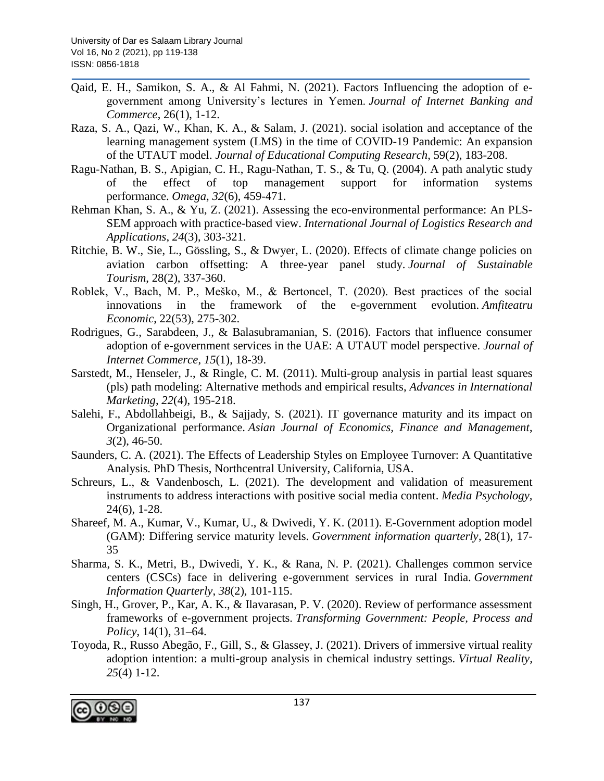- Qaid, E. H., Samikon, S. A., & Al Fahmi, N. (2021). Factors Influencing the adoption of egovernment among University's lectures in Yemen. *Journal of Internet Banking and Commerce*, 26(1), 1-12.
- Raza, S. A., Qazi, W., Khan, K. A., & Salam, J. (2021). social isolation and acceptance of the learning management system (LMS) in the time of COVID-19 Pandemic: An expansion of the UTAUT model. *Journal of Educational Computing Research*, 59(2), 183-208.
- Ragu-Nathan, B. S., Apigian, C. H., Ragu-Nathan, T. S., & Tu, Q. (2004). A path analytic study of the effect of top management support for information systems performance. *Omega*, *32*(6), 459-471.
- Rehman Khan, S. A., & Yu, Z. (2021). Assessing the eco-environmental performance: An PLS-SEM approach with practice-based view. *International Journal of Logistics Research and Applications*, *24*(3), 303-321.
- Ritchie, B. W., Sie, L., Gössling, S., & Dwyer, L. (2020). Effects of climate change policies on aviation carbon offsetting: A three-year panel study. *Journal of Sustainable Tourism*, 28(2), 337-360.
- Roblek, V., Bach, M. P., Meško, M., & Bertoncel, T. (2020). Best practices of the social innovations in the framework of the e-government evolution. *Amfiteatru Economic*, 22(53), 275-302.
- Rodrigues, G., Sarabdeen, J., & Balasubramanian, S. (2016). Factors that influence consumer adoption of e-government services in the UAE: A UTAUT model perspective. *Journal of Internet Commerce*, *15*(1), 18-39.
- Sarstedt, M., Henseler, J., & Ringle, C. M. (2011). Multi-group analysis in partial least squares (pls) path modeling: Alternative methods and empirical results, *Advances in International Marketing*, *22*(4), 195-218.
- Salehi, F., Abdollahbeigi, B., & Sajjady, S. (2021). IT governance maturity and its impact on Organizational performance. *Asian Journal of Economics, Finance and Management*, *3*(2), 46-50.
- Saunders, C. A. (2021). The Effects of Leadership Styles on Employee Turnover: A Quantitative Analysis*.* PhD Thesis, Northcentral University, California, USA.
- Schreurs, L., & Vandenbosch, L. (2021). The development and validation of measurement instruments to address interactions with positive social media content. *Media Psychology,*  24(6), 1-28.
- Shareef, M. A., Kumar, V., Kumar, U., & Dwivedi, Y. K. (2011). E-Government adoption model (GAM): Differing service maturity levels. *Government information quarterly*, 28(1), 17- 35
- Sharma, S. K., Metri, B., Dwivedi, Y. K., & Rana, N. P. (2021). Challenges common service centers (CSCs) face in delivering e-government services in rural India. *Government Information Quarterly*, *38*(2), 101-115.
- Singh, H., Grover, P., Kar, A. K., & Ilavarasan, P. V. (2020). Review of performance assessment frameworks of e-government projects. *Transforming Government: People, Process and Policy*, 14(1), 31–64.
- Toyoda, R., Russo Abegão, F., Gill, S., & Glassey, J. (2021). Drivers of immersive virtual reality adoption intention: a multi-group analysis in chemical industry settings. *Virtual Reality, 25*(4) 1-12.